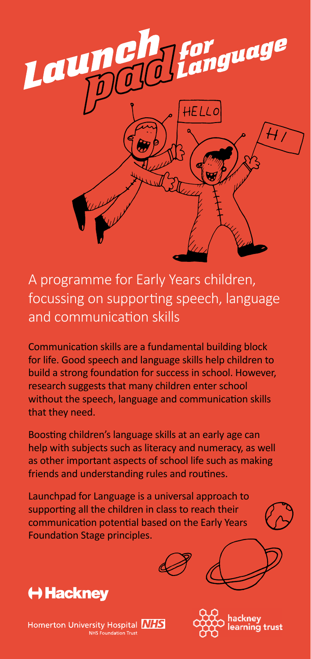

A programme for Early Years children, focussing on supporting speech, language and communication skills

Communication skills are a fundamental building block for life. Good speech and language skills help children to build a strong foundation for success in school. However, research suggests that many children enter school without the speech, language and communication skills that they need.

Boosting children's language skills at an early age can help with subjects such as literacy and numeracy, as well as other important aspects of school life such as making friends and understanding rules and routines.

Launchpad for Language is a universal approach to supporting all the children in class to reach their communication potential based on the Early Years Foundation Stage principles.





Homerton University Hospital **NHS** ر<br>oundation Trust: